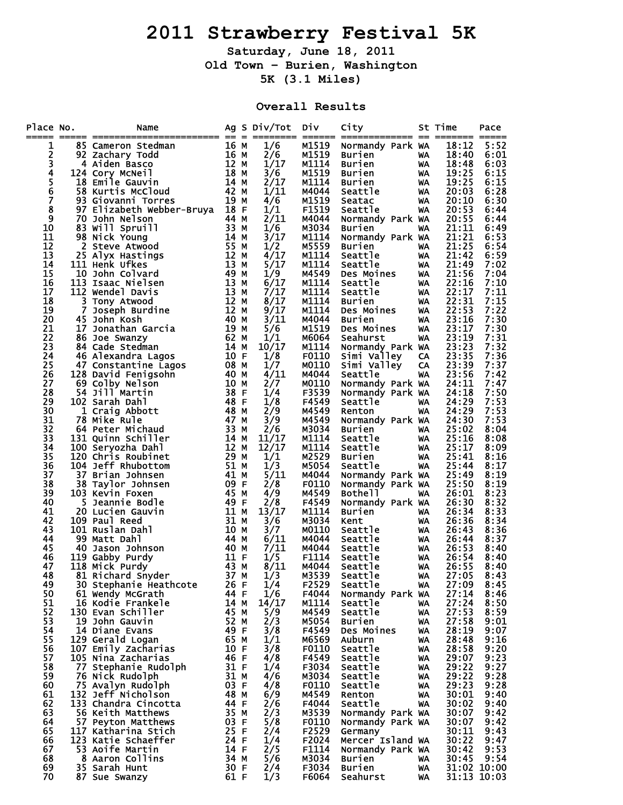## **2011 Strawberry Festival 5K**

**Saturday, June 18, 2011 Old Town – Burien, Washington 5K (3.1 Miles)** 

## **Overall Results**

| M1519<br>1/6<br>18:12<br>5:52<br>1<br>85 Cameron Stedman<br>Normandy Park WA<br>an 16 M<br>16 M<br>12 M<br>12 M<br>14 M<br>14 M<br>42 M<br>2<br>2/6<br>M1519<br>18:40<br>6:01<br>92 Zachary Todd<br><b>Burien</b><br>WA<br>3<br>1/17<br>M1114<br>18:48<br>6:03<br>4 Aiden Basco<br><b>Burien</b><br>WA<br>4<br>3/6<br>M1519<br>19:25<br>6:15<br>124 Cory McNeil<br><b>Burien</b><br>WA<br>5<br>6<br>2/17<br>19:25<br>6:15<br>18 Emile Gauvin<br>M1114<br><b>Burien</b><br>WA<br>$1/\bar{1}1$<br>58 Kurtis McCloud<br>20:03<br>M4044<br>6:28<br>Seattle<br>WA<br>7<br>19 м<br>4/6<br>20:10<br>6:30<br>93 Giovanni Torres<br>M1519<br>WA<br>Seatac<br>8<br>97 Elizabeth Webber-Bruya 18 F<br>1/1<br>F1519<br>20:53<br>Seattle<br>6:44<br>WA<br>9<br>2/11<br>20:55<br><b>70 John Nelson</b><br>44 M<br>M4044<br>6:44<br>Normandy Park WA<br>$\begin{array}{c} 33 \text{ M} \\ 14 \text{ M} \\ 55 \text{ M} \end{array}$<br>10<br>1/6<br>21:11<br>83 Will Spruill<br>M3034<br>6:49<br><b>Burien</b><br>WA<br>11<br>3/17<br>M1114<br>21:21<br>98 Nick Young<br>6:53<br>Normandy Park WA<br>12<br>2 Steve Atwood<br>1/2<br>M5559<br>21:25<br>6:54<br>Burien<br>WA<br>12 M<br>13 M<br>49 M<br>49 M<br>13<br>4/17<br>M1114<br>21:42<br>6:59<br>25 Alyx Hastings<br>Seattle<br>WA<br>5/17<br>14<br>M1114<br>21:49<br>111 Henk Ufkes<br>Seattle<br>7:02<br>WA<br>15<br>21:56<br>7:04<br>10 John Colvard<br>1/9<br>M4549<br>Des Moines<br>WA<br>6/17<br>16<br>M1114<br>22:16<br>7:10<br>113 Isaac Nielsen<br>Seattle<br>WA<br>17<br>7/17<br>112 Wendel Davis<br>13 M<br>M1114<br>22:17<br>7:11<br>Seattle<br>WA<br>$\overline{12}$ M<br>8/17<br>18<br>M1114<br>22:31<br>7:15<br>3<br>Tony Atwood<br>Burien<br>WA<br>19<br>12 M<br>9/17<br>22:53<br>7:22<br>7<br>M1114<br>Joseph Burdine<br>Des Moines<br>WA<br>3/11<br>20<br>40 M<br>M4044<br>23:16<br>7:30<br>45 John Kosh<br>Burien<br>WA<br>21<br>19 M<br>23:17<br>7:30<br>17 Jonathan Garcia<br>5/6<br>M1519<br>Des Moines<br>WA<br>22<br>62 M<br>1/1<br>23:19<br>7:31<br>M6064<br>86 Joe Swanzy<br>Seahurst<br>WA<br>23<br>14 M<br>10/17<br>23:23<br>7:32<br>M1114<br>84 Cade Stedman<br>Normandy Park WA<br>10 F<br>24<br>1/8<br>F0110<br>Simi Valley<br>23:35<br>7:36<br>46 Alexandra Lagos<br>CA<br>S 10 F 08 M 40 M 40 M 40 M 38 F<br>5 5 68 M 40 M 40 M 53 F 5<br>25<br>23:39<br>7:37<br>1/7<br>M0110<br>Simi Valley<br>47 Constantine Lagos<br>CA<br>26<br>4/11<br>23:56<br>128 David Fenigsohn<br>M4044<br>Seattle<br>7:42<br>WA<br>27<br>24:11<br>7:47<br>69 Colby Nelson<br>2/7<br>M0110<br>Normandy Park WA<br>28<br>F3539<br>24:18<br>7:50<br>54 Jill Martin<br>1/4<br>Normandy Park WA<br>48 F<br>29<br>1/8<br>24:29<br>7:53<br>102 Sarah Dahl<br>F4549<br>Seattle<br>WA<br>30<br>48 M<br>2/9<br>24:29<br>7:53<br>M4549<br>1 Craig Abbott<br>WA<br>Renton<br>31<br>47 M<br>3/9<br>24:30<br>7:53<br>M4549<br><b>78 Mike Rule</b><br>Normandy Park WA<br>33 M<br>32<br>2/6<br>25:02<br>M3034<br>8:04<br>64 Peter Michaud<br><b>Burien</b><br>WA.<br>33<br>$14$ M<br>11/17<br>25:16<br>M1114<br>Seattle<br>8:08<br>131 Quinn Schiller<br>WA<br>34<br>12 M<br>12/17<br>M1114<br>25:17<br>Seattle<br>8:09<br>100 Seryozha Dahl<br>WA<br>35<br>29 M<br>M2529<br>8:16<br>120 Chris Roubinet<br>1/1<br>25:41<br>Burien<br>WA<br>1/3<br>36<br>104 Jeff Rhubottom<br>51 M<br>M5054<br>25:44<br>8:17<br>Seattle<br>WA<br>37<br>5/11<br>37 Brian Johnsen<br>41 M<br>25:49<br>8:19<br>M4044<br>Normandy Park WA<br>38<br>09 F<br>38 Taylor Johnsen<br>2/8<br>F0110<br>25:50<br>8:19<br>Normandy Park WA<br>45 M<br>39<br>4/9<br>M4549<br>26:01<br>8:23<br>103 Kevin Foxen<br>Bothell<br>WA<br>40<br>49 F<br>2/8<br>8:32<br>5 Jeannie Bodle<br>F4549<br>26:30<br>Normandy Park WA<br>41<br>11 M<br>13/17<br>M1114<br>26:34<br>8:33<br>20 Lucien Gauvin<br><b>Burien</b><br>WA<br>31 M<br>42<br>3/6<br>109 Paul Reed<br>M3034<br>26:36<br>8:34<br>Kent<br>WA<br>43<br>10 M<br>101 Ruslan Dahl<br>3/7<br>M0110<br>Seattle<br>26:43<br>8:36<br>WA<br>44<br>44 M<br>6/11<br>99 Matt Dahl<br>M4044<br>Seattle<br>26:44<br>8:37<br>WA<br>7/11<br>40 M<br>26:53<br>45<br>40 Jason Johnson<br>M4044<br>Seattle<br>8:40<br>WA<br>11F<br>46<br>1/5<br>F1114<br>26:54<br>119 Gabby Purdy<br>Seattle<br>8:40<br>WA<br>43 M<br>47<br>8/11<br>26:55<br>118 Mick Purdy<br>M4044<br>Seattle<br>8:40<br>WA<br>48<br>37 M<br>1/3<br>M3539<br>27:05<br>81 Richard Snyder<br>Seattle<br>8:43<br>WA<br>30 Stephanie Heathcote<br>26 F<br>1/4<br>F2529<br>Seattle<br>27:09<br>8:45<br>49<br>WA<br>50<br>1/6<br>61 Wendy McGrath<br>44 F<br>F4044<br>27:14<br>8:46<br>Normandy Park WA<br>51<br>14/17<br>M1114<br>27:24<br>8:50<br>16 Kodie Frankele<br>14 M<br>Seattle<br>WA<br>52<br>45 M<br>5/9<br>27:53<br>130 Evan Schiller<br>M4549<br>8:59<br>Seattle<br>WA<br>53<br>52 M<br>2/3<br>27:58<br>19 John Gauvin<br>M5054<br>9:01<br>Burien<br>WA<br>54<br>49 F<br>3/8<br>28:19<br>14 Diane Evans<br>F4549<br>9:07<br>Des Moines<br>WA<br>55<br>129 Gerald Logan<br>65 M<br>1/1<br>M6569<br>28:48<br>9:16<br>Auburn<br>WA<br>56<br>10 F<br>3/8<br>107 Emily Zacharias<br>F0110<br>28:58<br>9:20<br>Seattle<br>WA<br>57<br>46 F<br>9:23<br>105 Nina Zacharias<br>4/8<br>F4549<br>Seattle<br>29:07<br>WA<br>58<br>31 F<br>77 Stephanie Rudolph<br>1/4<br>F3034<br>Seattle<br>29:22<br>9:27<br>WA<br>59<br>31 M<br>4/6<br>76 Nick Rudolph<br>M3034<br>Seattle<br>29:22<br>9:28<br>WA<br>60<br>03 F<br>75 Avalyn Rudolph<br>4/8<br>F0110<br>Seattle<br>29:23<br>9:28<br>WA<br>61<br>132 Jeff Nicholson<br>48 M<br>6/9<br>M4549<br>30:01<br>9:40<br>Renton<br>WA<br>62<br>133 Chandra Cincotta<br>44 F<br>2/6<br>F4044<br>30:02<br>9:40<br>Seattle<br>WA<br>63<br>35 M<br>2/3<br>M3539<br>56 Keith Matthews<br>30:07<br>9:42<br>Normandy Park WA<br>03 F<br>5/8<br>64<br>57 Peyton Matthews<br>F0110<br>30:07<br>9:42<br>Normandy Park WA<br>25 F<br>65<br>117 Katharina Stich<br>2/4<br>F2529<br>30:11<br>9:43<br>Germany<br>123 Katie Schaeffer<br>24 F<br>1/4<br>66<br>F2024<br>Mercer Island WA<br>30:22<br>9:47<br>67<br>2/5<br>9:53<br>53 Aoife Martin<br>14 F<br>F1114<br>30:42<br>Normandy Park WA<br>68<br>5/6<br>9:54<br>8 Aaron Collins<br>34 M<br>M3034<br>30:45<br><b>Burien</b><br>WA<br>69<br>35 Sarah Hunt<br>30 F<br>F3034<br>31:02 10:00<br>2/4<br>Burien<br>WA<br>70<br>61 F<br>1/3<br>31:13 10:03<br>F6064<br>87 Sue Swanzy<br>Seahurst<br>WA | Place No. | Name<br>===== ========== |  | Ag S Div/Tot | DIV | City | St Time | Pace |
|---------------------------------------------------------------------------------------------------------------------------------------------------------------------------------------------------------------------------------------------------------------------------------------------------------------------------------------------------------------------------------------------------------------------------------------------------------------------------------------------------------------------------------------------------------------------------------------------------------------------------------------------------------------------------------------------------------------------------------------------------------------------------------------------------------------------------------------------------------------------------------------------------------------------------------------------------------------------------------------------------------------------------------------------------------------------------------------------------------------------------------------------------------------------------------------------------------------------------------------------------------------------------------------------------------------------------------------------------------------------------------------------------------------------------------------------------------------------------------------------------------------------------------------------------------------------------------------------------------------------------------------------------------------------------------------------------------------------------------------------------------------------------------------------------------------------------------------------------------------------------------------------------------------------------------------------------------------------------------------------------------------------------------------------------------------------------------------------------------------------------------------------------------------------------------------------------------------------------------------------------------------------------------------------------------------------------------------------------------------------------------------------------------------------------------------------------------------------------------------------------------------------------------------------------------------------------------------------------------------------------------------------------------------------------------------------------------------------------------------------------------------------------------------------------------------------------------------------------------------------------------------------------------------------------------------------------------------------------------------------------------------------------------------------------------------------------------------------------------------------------------------------------------------------------------------------------------------------------------------------------------------------------------------------------------------------------------------------------------------------------------------------------------------------------------------------------------------------------------------------------------------------------------------------------------------------------------------------------------------------------------------------------------------------------------------------------------------------------------------------------------------------------------------------------------------------------------------------------------------------------------------------------------------------------------------------------------------------------------------------------------------------------------------------------------------------------------------------------------------------------------------------------------------------------------------------------------------------------------------------------------------------------------------------------------------------------------------------------------------------------------------------------------------------------------------------------------------------------------------------------------------------------------------------------------------------------------------------------------------------------------------------------------------------------------------------------------------------------------------------------------------------------------------------------------------------------------------------------------------------------------------------------------------------------------------------------------------------------------------------------------------------------------------------------------------------------------------------------------------------------------------------------------------------------------------------------------------------------------------------------------------------------------------------------------------------------------------------------------------------------------------------------------------------------------------------------------------------------------------------------------------------------------------------------------------------------------------------------------------------------------------------------------------------------------------------------------------------------------------------------------------------------------------------------------------------------------------------------------------------------------------------------------------------------------------------------------------------------------------------------------------------------------------------------------------------------------------------------------------------------------------------------------------------------------------------------------------------------------------------------------------------------------------------------------------------------------------------------------------------------------|-----------|--------------------------|--|--------------|-----|------|---------|------|
|                                                                                                                                                                                                                                                                                                                                                                                                                                                                                                                                                                                                                                                                                                                                                                                                                                                                                                                                                                                                                                                                                                                                                                                                                                                                                                                                                                                                                                                                                                                                                                                                                                                                                                                                                                                                                                                                                                                                                                                                                                                                                                                                                                                                                                                                                                                                                                                                                                                                                                                                                                                                                                                                                                                                                                                                                                                                                                                                                                                                                                                                                                                                                                                                                                                                                                                                                                                                                                                                                                                                                                                                                                                                                                                                                                                                                                                                                                                                                                                                                                                                                                                                                                                                                                                                                                                                                                                                                                                                                                                                                                                                                                                                                                                                                                                                                                                                                                                                                                                                                                                                                                                                                                                                                                                                                                                                                                                                                                                                                                                                                                                                                                                                                                                                                                                                                                                                                                                                                                                                                                                                                                                                                                                                                                                                                                                                                                                 |           |                          |  |              |     |      |         |      |
|                                                                                                                                                                                                                                                                                                                                                                                                                                                                                                                                                                                                                                                                                                                                                                                                                                                                                                                                                                                                                                                                                                                                                                                                                                                                                                                                                                                                                                                                                                                                                                                                                                                                                                                                                                                                                                                                                                                                                                                                                                                                                                                                                                                                                                                                                                                                                                                                                                                                                                                                                                                                                                                                                                                                                                                                                                                                                                                                                                                                                                                                                                                                                                                                                                                                                                                                                                                                                                                                                                                                                                                                                                                                                                                                                                                                                                                                                                                                                                                                                                                                                                                                                                                                                                                                                                                                                                                                                                                                                                                                                                                                                                                                                                                                                                                                                                                                                                                                                                                                                                                                                                                                                                                                                                                                                                                                                                                                                                                                                                                                                                                                                                                                                                                                                                                                                                                                                                                                                                                                                                                                                                                                                                                                                                                                                                                                                                                 |           |                          |  |              |     |      |         |      |
|                                                                                                                                                                                                                                                                                                                                                                                                                                                                                                                                                                                                                                                                                                                                                                                                                                                                                                                                                                                                                                                                                                                                                                                                                                                                                                                                                                                                                                                                                                                                                                                                                                                                                                                                                                                                                                                                                                                                                                                                                                                                                                                                                                                                                                                                                                                                                                                                                                                                                                                                                                                                                                                                                                                                                                                                                                                                                                                                                                                                                                                                                                                                                                                                                                                                                                                                                                                                                                                                                                                                                                                                                                                                                                                                                                                                                                                                                                                                                                                                                                                                                                                                                                                                                                                                                                                                                                                                                                                                                                                                                                                                                                                                                                                                                                                                                                                                                                                                                                                                                                                                                                                                                                                                                                                                                                                                                                                                                                                                                                                                                                                                                                                                                                                                                                                                                                                                                                                                                                                                                                                                                                                                                                                                                                                                                                                                                                                 |           |                          |  |              |     |      |         |      |
|                                                                                                                                                                                                                                                                                                                                                                                                                                                                                                                                                                                                                                                                                                                                                                                                                                                                                                                                                                                                                                                                                                                                                                                                                                                                                                                                                                                                                                                                                                                                                                                                                                                                                                                                                                                                                                                                                                                                                                                                                                                                                                                                                                                                                                                                                                                                                                                                                                                                                                                                                                                                                                                                                                                                                                                                                                                                                                                                                                                                                                                                                                                                                                                                                                                                                                                                                                                                                                                                                                                                                                                                                                                                                                                                                                                                                                                                                                                                                                                                                                                                                                                                                                                                                                                                                                                                                                                                                                                                                                                                                                                                                                                                                                                                                                                                                                                                                                                                                                                                                                                                                                                                                                                                                                                                                                                                                                                                                                                                                                                                                                                                                                                                                                                                                                                                                                                                                                                                                                                                                                                                                                                                                                                                                                                                                                                                                                                 |           |                          |  |              |     |      |         |      |
|                                                                                                                                                                                                                                                                                                                                                                                                                                                                                                                                                                                                                                                                                                                                                                                                                                                                                                                                                                                                                                                                                                                                                                                                                                                                                                                                                                                                                                                                                                                                                                                                                                                                                                                                                                                                                                                                                                                                                                                                                                                                                                                                                                                                                                                                                                                                                                                                                                                                                                                                                                                                                                                                                                                                                                                                                                                                                                                                                                                                                                                                                                                                                                                                                                                                                                                                                                                                                                                                                                                                                                                                                                                                                                                                                                                                                                                                                                                                                                                                                                                                                                                                                                                                                                                                                                                                                                                                                                                                                                                                                                                                                                                                                                                                                                                                                                                                                                                                                                                                                                                                                                                                                                                                                                                                                                                                                                                                                                                                                                                                                                                                                                                                                                                                                                                                                                                                                                                                                                                                                                                                                                                                                                                                                                                                                                                                                                                 |           |                          |  |              |     |      |         |      |
|                                                                                                                                                                                                                                                                                                                                                                                                                                                                                                                                                                                                                                                                                                                                                                                                                                                                                                                                                                                                                                                                                                                                                                                                                                                                                                                                                                                                                                                                                                                                                                                                                                                                                                                                                                                                                                                                                                                                                                                                                                                                                                                                                                                                                                                                                                                                                                                                                                                                                                                                                                                                                                                                                                                                                                                                                                                                                                                                                                                                                                                                                                                                                                                                                                                                                                                                                                                                                                                                                                                                                                                                                                                                                                                                                                                                                                                                                                                                                                                                                                                                                                                                                                                                                                                                                                                                                                                                                                                                                                                                                                                                                                                                                                                                                                                                                                                                                                                                                                                                                                                                                                                                                                                                                                                                                                                                                                                                                                                                                                                                                                                                                                                                                                                                                                                                                                                                                                                                                                                                                                                                                                                                                                                                                                                                                                                                                                                 |           |                          |  |              |     |      |         |      |
|                                                                                                                                                                                                                                                                                                                                                                                                                                                                                                                                                                                                                                                                                                                                                                                                                                                                                                                                                                                                                                                                                                                                                                                                                                                                                                                                                                                                                                                                                                                                                                                                                                                                                                                                                                                                                                                                                                                                                                                                                                                                                                                                                                                                                                                                                                                                                                                                                                                                                                                                                                                                                                                                                                                                                                                                                                                                                                                                                                                                                                                                                                                                                                                                                                                                                                                                                                                                                                                                                                                                                                                                                                                                                                                                                                                                                                                                                                                                                                                                                                                                                                                                                                                                                                                                                                                                                                                                                                                                                                                                                                                                                                                                                                                                                                                                                                                                                                                                                                                                                                                                                                                                                                                                                                                                                                                                                                                                                                                                                                                                                                                                                                                                                                                                                                                                                                                                                                                                                                                                                                                                                                                                                                                                                                                                                                                                                                                 |           |                          |  |              |     |      |         |      |
|                                                                                                                                                                                                                                                                                                                                                                                                                                                                                                                                                                                                                                                                                                                                                                                                                                                                                                                                                                                                                                                                                                                                                                                                                                                                                                                                                                                                                                                                                                                                                                                                                                                                                                                                                                                                                                                                                                                                                                                                                                                                                                                                                                                                                                                                                                                                                                                                                                                                                                                                                                                                                                                                                                                                                                                                                                                                                                                                                                                                                                                                                                                                                                                                                                                                                                                                                                                                                                                                                                                                                                                                                                                                                                                                                                                                                                                                                                                                                                                                                                                                                                                                                                                                                                                                                                                                                                                                                                                                                                                                                                                                                                                                                                                                                                                                                                                                                                                                                                                                                                                                                                                                                                                                                                                                                                                                                                                                                                                                                                                                                                                                                                                                                                                                                                                                                                                                                                                                                                                                                                                                                                                                                                                                                                                                                                                                                                                 |           |                          |  |              |     |      |         |      |
|                                                                                                                                                                                                                                                                                                                                                                                                                                                                                                                                                                                                                                                                                                                                                                                                                                                                                                                                                                                                                                                                                                                                                                                                                                                                                                                                                                                                                                                                                                                                                                                                                                                                                                                                                                                                                                                                                                                                                                                                                                                                                                                                                                                                                                                                                                                                                                                                                                                                                                                                                                                                                                                                                                                                                                                                                                                                                                                                                                                                                                                                                                                                                                                                                                                                                                                                                                                                                                                                                                                                                                                                                                                                                                                                                                                                                                                                                                                                                                                                                                                                                                                                                                                                                                                                                                                                                                                                                                                                                                                                                                                                                                                                                                                                                                                                                                                                                                                                                                                                                                                                                                                                                                                                                                                                                                                                                                                                                                                                                                                                                                                                                                                                                                                                                                                                                                                                                                                                                                                                                                                                                                                                                                                                                                                                                                                                                                                 |           |                          |  |              |     |      |         |      |
|                                                                                                                                                                                                                                                                                                                                                                                                                                                                                                                                                                                                                                                                                                                                                                                                                                                                                                                                                                                                                                                                                                                                                                                                                                                                                                                                                                                                                                                                                                                                                                                                                                                                                                                                                                                                                                                                                                                                                                                                                                                                                                                                                                                                                                                                                                                                                                                                                                                                                                                                                                                                                                                                                                                                                                                                                                                                                                                                                                                                                                                                                                                                                                                                                                                                                                                                                                                                                                                                                                                                                                                                                                                                                                                                                                                                                                                                                                                                                                                                                                                                                                                                                                                                                                                                                                                                                                                                                                                                                                                                                                                                                                                                                                                                                                                                                                                                                                                                                                                                                                                                                                                                                                                                                                                                                                                                                                                                                                                                                                                                                                                                                                                                                                                                                                                                                                                                                                                                                                                                                                                                                                                                                                                                                                                                                                                                                                                 |           |                          |  |              |     |      |         |      |
|                                                                                                                                                                                                                                                                                                                                                                                                                                                                                                                                                                                                                                                                                                                                                                                                                                                                                                                                                                                                                                                                                                                                                                                                                                                                                                                                                                                                                                                                                                                                                                                                                                                                                                                                                                                                                                                                                                                                                                                                                                                                                                                                                                                                                                                                                                                                                                                                                                                                                                                                                                                                                                                                                                                                                                                                                                                                                                                                                                                                                                                                                                                                                                                                                                                                                                                                                                                                                                                                                                                                                                                                                                                                                                                                                                                                                                                                                                                                                                                                                                                                                                                                                                                                                                                                                                                                                                                                                                                                                                                                                                                                                                                                                                                                                                                                                                                                                                                                                                                                                                                                                                                                                                                                                                                                                                                                                                                                                                                                                                                                                                                                                                                                                                                                                                                                                                                                                                                                                                                                                                                                                                                                                                                                                                                                                                                                                                                 |           |                          |  |              |     |      |         |      |
|                                                                                                                                                                                                                                                                                                                                                                                                                                                                                                                                                                                                                                                                                                                                                                                                                                                                                                                                                                                                                                                                                                                                                                                                                                                                                                                                                                                                                                                                                                                                                                                                                                                                                                                                                                                                                                                                                                                                                                                                                                                                                                                                                                                                                                                                                                                                                                                                                                                                                                                                                                                                                                                                                                                                                                                                                                                                                                                                                                                                                                                                                                                                                                                                                                                                                                                                                                                                                                                                                                                                                                                                                                                                                                                                                                                                                                                                                                                                                                                                                                                                                                                                                                                                                                                                                                                                                                                                                                                                                                                                                                                                                                                                                                                                                                                                                                                                                                                                                                                                                                                                                                                                                                                                                                                                                                                                                                                                                                                                                                                                                                                                                                                                                                                                                                                                                                                                                                                                                                                                                                                                                                                                                                                                                                                                                                                                                                                 |           |                          |  |              |     |      |         |      |
|                                                                                                                                                                                                                                                                                                                                                                                                                                                                                                                                                                                                                                                                                                                                                                                                                                                                                                                                                                                                                                                                                                                                                                                                                                                                                                                                                                                                                                                                                                                                                                                                                                                                                                                                                                                                                                                                                                                                                                                                                                                                                                                                                                                                                                                                                                                                                                                                                                                                                                                                                                                                                                                                                                                                                                                                                                                                                                                                                                                                                                                                                                                                                                                                                                                                                                                                                                                                                                                                                                                                                                                                                                                                                                                                                                                                                                                                                                                                                                                                                                                                                                                                                                                                                                                                                                                                                                                                                                                                                                                                                                                                                                                                                                                                                                                                                                                                                                                                                                                                                                                                                                                                                                                                                                                                                                                                                                                                                                                                                                                                                                                                                                                                                                                                                                                                                                                                                                                                                                                                                                                                                                                                                                                                                                                                                                                                                                                 |           |                          |  |              |     |      |         |      |
|                                                                                                                                                                                                                                                                                                                                                                                                                                                                                                                                                                                                                                                                                                                                                                                                                                                                                                                                                                                                                                                                                                                                                                                                                                                                                                                                                                                                                                                                                                                                                                                                                                                                                                                                                                                                                                                                                                                                                                                                                                                                                                                                                                                                                                                                                                                                                                                                                                                                                                                                                                                                                                                                                                                                                                                                                                                                                                                                                                                                                                                                                                                                                                                                                                                                                                                                                                                                                                                                                                                                                                                                                                                                                                                                                                                                                                                                                                                                                                                                                                                                                                                                                                                                                                                                                                                                                                                                                                                                                                                                                                                                                                                                                                                                                                                                                                                                                                                                                                                                                                                                                                                                                                                                                                                                                                                                                                                                                                                                                                                                                                                                                                                                                                                                                                                                                                                                                                                                                                                                                                                                                                                                                                                                                                                                                                                                                                                 |           |                          |  |              |     |      |         |      |
|                                                                                                                                                                                                                                                                                                                                                                                                                                                                                                                                                                                                                                                                                                                                                                                                                                                                                                                                                                                                                                                                                                                                                                                                                                                                                                                                                                                                                                                                                                                                                                                                                                                                                                                                                                                                                                                                                                                                                                                                                                                                                                                                                                                                                                                                                                                                                                                                                                                                                                                                                                                                                                                                                                                                                                                                                                                                                                                                                                                                                                                                                                                                                                                                                                                                                                                                                                                                                                                                                                                                                                                                                                                                                                                                                                                                                                                                                                                                                                                                                                                                                                                                                                                                                                                                                                                                                                                                                                                                                                                                                                                                                                                                                                                                                                                                                                                                                                                                                                                                                                                                                                                                                                                                                                                                                                                                                                                                                                                                                                                                                                                                                                                                                                                                                                                                                                                                                                                                                                                                                                                                                                                                                                                                                                                                                                                                                                                 |           |                          |  |              |     |      |         |      |
|                                                                                                                                                                                                                                                                                                                                                                                                                                                                                                                                                                                                                                                                                                                                                                                                                                                                                                                                                                                                                                                                                                                                                                                                                                                                                                                                                                                                                                                                                                                                                                                                                                                                                                                                                                                                                                                                                                                                                                                                                                                                                                                                                                                                                                                                                                                                                                                                                                                                                                                                                                                                                                                                                                                                                                                                                                                                                                                                                                                                                                                                                                                                                                                                                                                                                                                                                                                                                                                                                                                                                                                                                                                                                                                                                                                                                                                                                                                                                                                                                                                                                                                                                                                                                                                                                                                                                                                                                                                                                                                                                                                                                                                                                                                                                                                                                                                                                                                                                                                                                                                                                                                                                                                                                                                                                                                                                                                                                                                                                                                                                                                                                                                                                                                                                                                                                                                                                                                                                                                                                                                                                                                                                                                                                                                                                                                                                                                 |           |                          |  |              |     |      |         |      |
|                                                                                                                                                                                                                                                                                                                                                                                                                                                                                                                                                                                                                                                                                                                                                                                                                                                                                                                                                                                                                                                                                                                                                                                                                                                                                                                                                                                                                                                                                                                                                                                                                                                                                                                                                                                                                                                                                                                                                                                                                                                                                                                                                                                                                                                                                                                                                                                                                                                                                                                                                                                                                                                                                                                                                                                                                                                                                                                                                                                                                                                                                                                                                                                                                                                                                                                                                                                                                                                                                                                                                                                                                                                                                                                                                                                                                                                                                                                                                                                                                                                                                                                                                                                                                                                                                                                                                                                                                                                                                                                                                                                                                                                                                                                                                                                                                                                                                                                                                                                                                                                                                                                                                                                                                                                                                                                                                                                                                                                                                                                                                                                                                                                                                                                                                                                                                                                                                                                                                                                                                                                                                                                                                                                                                                                                                                                                                                                 |           |                          |  |              |     |      |         |      |
|                                                                                                                                                                                                                                                                                                                                                                                                                                                                                                                                                                                                                                                                                                                                                                                                                                                                                                                                                                                                                                                                                                                                                                                                                                                                                                                                                                                                                                                                                                                                                                                                                                                                                                                                                                                                                                                                                                                                                                                                                                                                                                                                                                                                                                                                                                                                                                                                                                                                                                                                                                                                                                                                                                                                                                                                                                                                                                                                                                                                                                                                                                                                                                                                                                                                                                                                                                                                                                                                                                                                                                                                                                                                                                                                                                                                                                                                                                                                                                                                                                                                                                                                                                                                                                                                                                                                                                                                                                                                                                                                                                                                                                                                                                                                                                                                                                                                                                                                                                                                                                                                                                                                                                                                                                                                                                                                                                                                                                                                                                                                                                                                                                                                                                                                                                                                                                                                                                                                                                                                                                                                                                                                                                                                                                                                                                                                                                                 |           |                          |  |              |     |      |         |      |
|                                                                                                                                                                                                                                                                                                                                                                                                                                                                                                                                                                                                                                                                                                                                                                                                                                                                                                                                                                                                                                                                                                                                                                                                                                                                                                                                                                                                                                                                                                                                                                                                                                                                                                                                                                                                                                                                                                                                                                                                                                                                                                                                                                                                                                                                                                                                                                                                                                                                                                                                                                                                                                                                                                                                                                                                                                                                                                                                                                                                                                                                                                                                                                                                                                                                                                                                                                                                                                                                                                                                                                                                                                                                                                                                                                                                                                                                                                                                                                                                                                                                                                                                                                                                                                                                                                                                                                                                                                                                                                                                                                                                                                                                                                                                                                                                                                                                                                                                                                                                                                                                                                                                                                                                                                                                                                                                                                                                                                                                                                                                                                                                                                                                                                                                                                                                                                                                                                                                                                                                                                                                                                                                                                                                                                                                                                                                                                                 |           |                          |  |              |     |      |         |      |
|                                                                                                                                                                                                                                                                                                                                                                                                                                                                                                                                                                                                                                                                                                                                                                                                                                                                                                                                                                                                                                                                                                                                                                                                                                                                                                                                                                                                                                                                                                                                                                                                                                                                                                                                                                                                                                                                                                                                                                                                                                                                                                                                                                                                                                                                                                                                                                                                                                                                                                                                                                                                                                                                                                                                                                                                                                                                                                                                                                                                                                                                                                                                                                                                                                                                                                                                                                                                                                                                                                                                                                                                                                                                                                                                                                                                                                                                                                                                                                                                                                                                                                                                                                                                                                                                                                                                                                                                                                                                                                                                                                                                                                                                                                                                                                                                                                                                                                                                                                                                                                                                                                                                                                                                                                                                                                                                                                                                                                                                                                                                                                                                                                                                                                                                                                                                                                                                                                                                                                                                                                                                                                                                                                                                                                                                                                                                                                                 |           |                          |  |              |     |      |         |      |
|                                                                                                                                                                                                                                                                                                                                                                                                                                                                                                                                                                                                                                                                                                                                                                                                                                                                                                                                                                                                                                                                                                                                                                                                                                                                                                                                                                                                                                                                                                                                                                                                                                                                                                                                                                                                                                                                                                                                                                                                                                                                                                                                                                                                                                                                                                                                                                                                                                                                                                                                                                                                                                                                                                                                                                                                                                                                                                                                                                                                                                                                                                                                                                                                                                                                                                                                                                                                                                                                                                                                                                                                                                                                                                                                                                                                                                                                                                                                                                                                                                                                                                                                                                                                                                                                                                                                                                                                                                                                                                                                                                                                                                                                                                                                                                                                                                                                                                                                                                                                                                                                                                                                                                                                                                                                                                                                                                                                                                                                                                                                                                                                                                                                                                                                                                                                                                                                                                                                                                                                                                                                                                                                                                                                                                                                                                                                                                                 |           |                          |  |              |     |      |         |      |
|                                                                                                                                                                                                                                                                                                                                                                                                                                                                                                                                                                                                                                                                                                                                                                                                                                                                                                                                                                                                                                                                                                                                                                                                                                                                                                                                                                                                                                                                                                                                                                                                                                                                                                                                                                                                                                                                                                                                                                                                                                                                                                                                                                                                                                                                                                                                                                                                                                                                                                                                                                                                                                                                                                                                                                                                                                                                                                                                                                                                                                                                                                                                                                                                                                                                                                                                                                                                                                                                                                                                                                                                                                                                                                                                                                                                                                                                                                                                                                                                                                                                                                                                                                                                                                                                                                                                                                                                                                                                                                                                                                                                                                                                                                                                                                                                                                                                                                                                                                                                                                                                                                                                                                                                                                                                                                                                                                                                                                                                                                                                                                                                                                                                                                                                                                                                                                                                                                                                                                                                                                                                                                                                                                                                                                                                                                                                                                                 |           |                          |  |              |     |      |         |      |
|                                                                                                                                                                                                                                                                                                                                                                                                                                                                                                                                                                                                                                                                                                                                                                                                                                                                                                                                                                                                                                                                                                                                                                                                                                                                                                                                                                                                                                                                                                                                                                                                                                                                                                                                                                                                                                                                                                                                                                                                                                                                                                                                                                                                                                                                                                                                                                                                                                                                                                                                                                                                                                                                                                                                                                                                                                                                                                                                                                                                                                                                                                                                                                                                                                                                                                                                                                                                                                                                                                                                                                                                                                                                                                                                                                                                                                                                                                                                                                                                                                                                                                                                                                                                                                                                                                                                                                                                                                                                                                                                                                                                                                                                                                                                                                                                                                                                                                                                                                                                                                                                                                                                                                                                                                                                                                                                                                                                                                                                                                                                                                                                                                                                                                                                                                                                                                                                                                                                                                                                                                                                                                                                                                                                                                                                                                                                                                                 |           |                          |  |              |     |      |         |      |
|                                                                                                                                                                                                                                                                                                                                                                                                                                                                                                                                                                                                                                                                                                                                                                                                                                                                                                                                                                                                                                                                                                                                                                                                                                                                                                                                                                                                                                                                                                                                                                                                                                                                                                                                                                                                                                                                                                                                                                                                                                                                                                                                                                                                                                                                                                                                                                                                                                                                                                                                                                                                                                                                                                                                                                                                                                                                                                                                                                                                                                                                                                                                                                                                                                                                                                                                                                                                                                                                                                                                                                                                                                                                                                                                                                                                                                                                                                                                                                                                                                                                                                                                                                                                                                                                                                                                                                                                                                                                                                                                                                                                                                                                                                                                                                                                                                                                                                                                                                                                                                                                                                                                                                                                                                                                                                                                                                                                                                                                                                                                                                                                                                                                                                                                                                                                                                                                                                                                                                                                                                                                                                                                                                                                                                                                                                                                                                                 |           |                          |  |              |     |      |         |      |
|                                                                                                                                                                                                                                                                                                                                                                                                                                                                                                                                                                                                                                                                                                                                                                                                                                                                                                                                                                                                                                                                                                                                                                                                                                                                                                                                                                                                                                                                                                                                                                                                                                                                                                                                                                                                                                                                                                                                                                                                                                                                                                                                                                                                                                                                                                                                                                                                                                                                                                                                                                                                                                                                                                                                                                                                                                                                                                                                                                                                                                                                                                                                                                                                                                                                                                                                                                                                                                                                                                                                                                                                                                                                                                                                                                                                                                                                                                                                                                                                                                                                                                                                                                                                                                                                                                                                                                                                                                                                                                                                                                                                                                                                                                                                                                                                                                                                                                                                                                                                                                                                                                                                                                                                                                                                                                                                                                                                                                                                                                                                                                                                                                                                                                                                                                                                                                                                                                                                                                                                                                                                                                                                                                                                                                                                                                                                                                                 |           |                          |  |              |     |      |         |      |
|                                                                                                                                                                                                                                                                                                                                                                                                                                                                                                                                                                                                                                                                                                                                                                                                                                                                                                                                                                                                                                                                                                                                                                                                                                                                                                                                                                                                                                                                                                                                                                                                                                                                                                                                                                                                                                                                                                                                                                                                                                                                                                                                                                                                                                                                                                                                                                                                                                                                                                                                                                                                                                                                                                                                                                                                                                                                                                                                                                                                                                                                                                                                                                                                                                                                                                                                                                                                                                                                                                                                                                                                                                                                                                                                                                                                                                                                                                                                                                                                                                                                                                                                                                                                                                                                                                                                                                                                                                                                                                                                                                                                                                                                                                                                                                                                                                                                                                                                                                                                                                                                                                                                                                                                                                                                                                                                                                                                                                                                                                                                                                                                                                                                                                                                                                                                                                                                                                                                                                                                                                                                                                                                                                                                                                                                                                                                                                                 |           |                          |  |              |     |      |         |      |
|                                                                                                                                                                                                                                                                                                                                                                                                                                                                                                                                                                                                                                                                                                                                                                                                                                                                                                                                                                                                                                                                                                                                                                                                                                                                                                                                                                                                                                                                                                                                                                                                                                                                                                                                                                                                                                                                                                                                                                                                                                                                                                                                                                                                                                                                                                                                                                                                                                                                                                                                                                                                                                                                                                                                                                                                                                                                                                                                                                                                                                                                                                                                                                                                                                                                                                                                                                                                                                                                                                                                                                                                                                                                                                                                                                                                                                                                                                                                                                                                                                                                                                                                                                                                                                                                                                                                                                                                                                                                                                                                                                                                                                                                                                                                                                                                                                                                                                                                                                                                                                                                                                                                                                                                                                                                                                                                                                                                                                                                                                                                                                                                                                                                                                                                                                                                                                                                                                                                                                                                                                                                                                                                                                                                                                                                                                                                                                                 |           |                          |  |              |     |      |         |      |
|                                                                                                                                                                                                                                                                                                                                                                                                                                                                                                                                                                                                                                                                                                                                                                                                                                                                                                                                                                                                                                                                                                                                                                                                                                                                                                                                                                                                                                                                                                                                                                                                                                                                                                                                                                                                                                                                                                                                                                                                                                                                                                                                                                                                                                                                                                                                                                                                                                                                                                                                                                                                                                                                                                                                                                                                                                                                                                                                                                                                                                                                                                                                                                                                                                                                                                                                                                                                                                                                                                                                                                                                                                                                                                                                                                                                                                                                                                                                                                                                                                                                                                                                                                                                                                                                                                                                                                                                                                                                                                                                                                                                                                                                                                                                                                                                                                                                                                                                                                                                                                                                                                                                                                                                                                                                                                                                                                                                                                                                                                                                                                                                                                                                                                                                                                                                                                                                                                                                                                                                                                                                                                                                                                                                                                                                                                                                                                                 |           |                          |  |              |     |      |         |      |
|                                                                                                                                                                                                                                                                                                                                                                                                                                                                                                                                                                                                                                                                                                                                                                                                                                                                                                                                                                                                                                                                                                                                                                                                                                                                                                                                                                                                                                                                                                                                                                                                                                                                                                                                                                                                                                                                                                                                                                                                                                                                                                                                                                                                                                                                                                                                                                                                                                                                                                                                                                                                                                                                                                                                                                                                                                                                                                                                                                                                                                                                                                                                                                                                                                                                                                                                                                                                                                                                                                                                                                                                                                                                                                                                                                                                                                                                                                                                                                                                                                                                                                                                                                                                                                                                                                                                                                                                                                                                                                                                                                                                                                                                                                                                                                                                                                                                                                                                                                                                                                                                                                                                                                                                                                                                                                                                                                                                                                                                                                                                                                                                                                                                                                                                                                                                                                                                                                                                                                                                                                                                                                                                                                                                                                                                                                                                                                                 |           |                          |  |              |     |      |         |      |
|                                                                                                                                                                                                                                                                                                                                                                                                                                                                                                                                                                                                                                                                                                                                                                                                                                                                                                                                                                                                                                                                                                                                                                                                                                                                                                                                                                                                                                                                                                                                                                                                                                                                                                                                                                                                                                                                                                                                                                                                                                                                                                                                                                                                                                                                                                                                                                                                                                                                                                                                                                                                                                                                                                                                                                                                                                                                                                                                                                                                                                                                                                                                                                                                                                                                                                                                                                                                                                                                                                                                                                                                                                                                                                                                                                                                                                                                                                                                                                                                                                                                                                                                                                                                                                                                                                                                                                                                                                                                                                                                                                                                                                                                                                                                                                                                                                                                                                                                                                                                                                                                                                                                                                                                                                                                                                                                                                                                                                                                                                                                                                                                                                                                                                                                                                                                                                                                                                                                                                                                                                                                                                                                                                                                                                                                                                                                                                                 |           |                          |  |              |     |      |         |      |
|                                                                                                                                                                                                                                                                                                                                                                                                                                                                                                                                                                                                                                                                                                                                                                                                                                                                                                                                                                                                                                                                                                                                                                                                                                                                                                                                                                                                                                                                                                                                                                                                                                                                                                                                                                                                                                                                                                                                                                                                                                                                                                                                                                                                                                                                                                                                                                                                                                                                                                                                                                                                                                                                                                                                                                                                                                                                                                                                                                                                                                                                                                                                                                                                                                                                                                                                                                                                                                                                                                                                                                                                                                                                                                                                                                                                                                                                                                                                                                                                                                                                                                                                                                                                                                                                                                                                                                                                                                                                                                                                                                                                                                                                                                                                                                                                                                                                                                                                                                                                                                                                                                                                                                                                                                                                                                                                                                                                                                                                                                                                                                                                                                                                                                                                                                                                                                                                                                                                                                                                                                                                                                                                                                                                                                                                                                                                                                                 |           |                          |  |              |     |      |         |      |
|                                                                                                                                                                                                                                                                                                                                                                                                                                                                                                                                                                                                                                                                                                                                                                                                                                                                                                                                                                                                                                                                                                                                                                                                                                                                                                                                                                                                                                                                                                                                                                                                                                                                                                                                                                                                                                                                                                                                                                                                                                                                                                                                                                                                                                                                                                                                                                                                                                                                                                                                                                                                                                                                                                                                                                                                                                                                                                                                                                                                                                                                                                                                                                                                                                                                                                                                                                                                                                                                                                                                                                                                                                                                                                                                                                                                                                                                                                                                                                                                                                                                                                                                                                                                                                                                                                                                                                                                                                                                                                                                                                                                                                                                                                                                                                                                                                                                                                                                                                                                                                                                                                                                                                                                                                                                                                                                                                                                                                                                                                                                                                                                                                                                                                                                                                                                                                                                                                                                                                                                                                                                                                                                                                                                                                                                                                                                                                                 |           |                          |  |              |     |      |         |      |
|                                                                                                                                                                                                                                                                                                                                                                                                                                                                                                                                                                                                                                                                                                                                                                                                                                                                                                                                                                                                                                                                                                                                                                                                                                                                                                                                                                                                                                                                                                                                                                                                                                                                                                                                                                                                                                                                                                                                                                                                                                                                                                                                                                                                                                                                                                                                                                                                                                                                                                                                                                                                                                                                                                                                                                                                                                                                                                                                                                                                                                                                                                                                                                                                                                                                                                                                                                                                                                                                                                                                                                                                                                                                                                                                                                                                                                                                                                                                                                                                                                                                                                                                                                                                                                                                                                                                                                                                                                                                                                                                                                                                                                                                                                                                                                                                                                                                                                                                                                                                                                                                                                                                                                                                                                                                                                                                                                                                                                                                                                                                                                                                                                                                                                                                                                                                                                                                                                                                                                                                                                                                                                                                                                                                                                                                                                                                                                                 |           |                          |  |              |     |      |         |      |
|                                                                                                                                                                                                                                                                                                                                                                                                                                                                                                                                                                                                                                                                                                                                                                                                                                                                                                                                                                                                                                                                                                                                                                                                                                                                                                                                                                                                                                                                                                                                                                                                                                                                                                                                                                                                                                                                                                                                                                                                                                                                                                                                                                                                                                                                                                                                                                                                                                                                                                                                                                                                                                                                                                                                                                                                                                                                                                                                                                                                                                                                                                                                                                                                                                                                                                                                                                                                                                                                                                                                                                                                                                                                                                                                                                                                                                                                                                                                                                                                                                                                                                                                                                                                                                                                                                                                                                                                                                                                                                                                                                                                                                                                                                                                                                                                                                                                                                                                                                                                                                                                                                                                                                                                                                                                                                                                                                                                                                                                                                                                                                                                                                                                                                                                                                                                                                                                                                                                                                                                                                                                                                                                                                                                                                                                                                                                                                                 |           |                          |  |              |     |      |         |      |
|                                                                                                                                                                                                                                                                                                                                                                                                                                                                                                                                                                                                                                                                                                                                                                                                                                                                                                                                                                                                                                                                                                                                                                                                                                                                                                                                                                                                                                                                                                                                                                                                                                                                                                                                                                                                                                                                                                                                                                                                                                                                                                                                                                                                                                                                                                                                                                                                                                                                                                                                                                                                                                                                                                                                                                                                                                                                                                                                                                                                                                                                                                                                                                                                                                                                                                                                                                                                                                                                                                                                                                                                                                                                                                                                                                                                                                                                                                                                                                                                                                                                                                                                                                                                                                                                                                                                                                                                                                                                                                                                                                                                                                                                                                                                                                                                                                                                                                                                                                                                                                                                                                                                                                                                                                                                                                                                                                                                                                                                                                                                                                                                                                                                                                                                                                                                                                                                                                                                                                                                                                                                                                                                                                                                                                                                                                                                                                                 |           |                          |  |              |     |      |         |      |
|                                                                                                                                                                                                                                                                                                                                                                                                                                                                                                                                                                                                                                                                                                                                                                                                                                                                                                                                                                                                                                                                                                                                                                                                                                                                                                                                                                                                                                                                                                                                                                                                                                                                                                                                                                                                                                                                                                                                                                                                                                                                                                                                                                                                                                                                                                                                                                                                                                                                                                                                                                                                                                                                                                                                                                                                                                                                                                                                                                                                                                                                                                                                                                                                                                                                                                                                                                                                                                                                                                                                                                                                                                                                                                                                                                                                                                                                                                                                                                                                                                                                                                                                                                                                                                                                                                                                                                                                                                                                                                                                                                                                                                                                                                                                                                                                                                                                                                                                                                                                                                                                                                                                                                                                                                                                                                                                                                                                                                                                                                                                                                                                                                                                                                                                                                                                                                                                                                                                                                                                                                                                                                                                                                                                                                                                                                                                                                                 |           |                          |  |              |     |      |         |      |
|                                                                                                                                                                                                                                                                                                                                                                                                                                                                                                                                                                                                                                                                                                                                                                                                                                                                                                                                                                                                                                                                                                                                                                                                                                                                                                                                                                                                                                                                                                                                                                                                                                                                                                                                                                                                                                                                                                                                                                                                                                                                                                                                                                                                                                                                                                                                                                                                                                                                                                                                                                                                                                                                                                                                                                                                                                                                                                                                                                                                                                                                                                                                                                                                                                                                                                                                                                                                                                                                                                                                                                                                                                                                                                                                                                                                                                                                                                                                                                                                                                                                                                                                                                                                                                                                                                                                                                                                                                                                                                                                                                                                                                                                                                                                                                                                                                                                                                                                                                                                                                                                                                                                                                                                                                                                                                                                                                                                                                                                                                                                                                                                                                                                                                                                                                                                                                                                                                                                                                                                                                                                                                                                                                                                                                                                                                                                                                                 |           |                          |  |              |     |      |         |      |
|                                                                                                                                                                                                                                                                                                                                                                                                                                                                                                                                                                                                                                                                                                                                                                                                                                                                                                                                                                                                                                                                                                                                                                                                                                                                                                                                                                                                                                                                                                                                                                                                                                                                                                                                                                                                                                                                                                                                                                                                                                                                                                                                                                                                                                                                                                                                                                                                                                                                                                                                                                                                                                                                                                                                                                                                                                                                                                                                                                                                                                                                                                                                                                                                                                                                                                                                                                                                                                                                                                                                                                                                                                                                                                                                                                                                                                                                                                                                                                                                                                                                                                                                                                                                                                                                                                                                                                                                                                                                                                                                                                                                                                                                                                                                                                                                                                                                                                                                                                                                                                                                                                                                                                                                                                                                                                                                                                                                                                                                                                                                                                                                                                                                                                                                                                                                                                                                                                                                                                                                                                                                                                                                                                                                                                                                                                                                                                                 |           |                          |  |              |     |      |         |      |
|                                                                                                                                                                                                                                                                                                                                                                                                                                                                                                                                                                                                                                                                                                                                                                                                                                                                                                                                                                                                                                                                                                                                                                                                                                                                                                                                                                                                                                                                                                                                                                                                                                                                                                                                                                                                                                                                                                                                                                                                                                                                                                                                                                                                                                                                                                                                                                                                                                                                                                                                                                                                                                                                                                                                                                                                                                                                                                                                                                                                                                                                                                                                                                                                                                                                                                                                                                                                                                                                                                                                                                                                                                                                                                                                                                                                                                                                                                                                                                                                                                                                                                                                                                                                                                                                                                                                                                                                                                                                                                                                                                                                                                                                                                                                                                                                                                                                                                                                                                                                                                                                                                                                                                                                                                                                                                                                                                                                                                                                                                                                                                                                                                                                                                                                                                                                                                                                                                                                                                                                                                                                                                                                                                                                                                                                                                                                                                                 |           |                          |  |              |     |      |         |      |
|                                                                                                                                                                                                                                                                                                                                                                                                                                                                                                                                                                                                                                                                                                                                                                                                                                                                                                                                                                                                                                                                                                                                                                                                                                                                                                                                                                                                                                                                                                                                                                                                                                                                                                                                                                                                                                                                                                                                                                                                                                                                                                                                                                                                                                                                                                                                                                                                                                                                                                                                                                                                                                                                                                                                                                                                                                                                                                                                                                                                                                                                                                                                                                                                                                                                                                                                                                                                                                                                                                                                                                                                                                                                                                                                                                                                                                                                                                                                                                                                                                                                                                                                                                                                                                                                                                                                                                                                                                                                                                                                                                                                                                                                                                                                                                                                                                                                                                                                                                                                                                                                                                                                                                                                                                                                                                                                                                                                                                                                                                                                                                                                                                                                                                                                                                                                                                                                                                                                                                                                                                                                                                                                                                                                                                                                                                                                                                                 |           |                          |  |              |     |      |         |      |
|                                                                                                                                                                                                                                                                                                                                                                                                                                                                                                                                                                                                                                                                                                                                                                                                                                                                                                                                                                                                                                                                                                                                                                                                                                                                                                                                                                                                                                                                                                                                                                                                                                                                                                                                                                                                                                                                                                                                                                                                                                                                                                                                                                                                                                                                                                                                                                                                                                                                                                                                                                                                                                                                                                                                                                                                                                                                                                                                                                                                                                                                                                                                                                                                                                                                                                                                                                                                                                                                                                                                                                                                                                                                                                                                                                                                                                                                                                                                                                                                                                                                                                                                                                                                                                                                                                                                                                                                                                                                                                                                                                                                                                                                                                                                                                                                                                                                                                                                                                                                                                                                                                                                                                                                                                                                                                                                                                                                                                                                                                                                                                                                                                                                                                                                                                                                                                                                                                                                                                                                                                                                                                                                                                                                                                                                                                                                                                                 |           |                          |  |              |     |      |         |      |
|                                                                                                                                                                                                                                                                                                                                                                                                                                                                                                                                                                                                                                                                                                                                                                                                                                                                                                                                                                                                                                                                                                                                                                                                                                                                                                                                                                                                                                                                                                                                                                                                                                                                                                                                                                                                                                                                                                                                                                                                                                                                                                                                                                                                                                                                                                                                                                                                                                                                                                                                                                                                                                                                                                                                                                                                                                                                                                                                                                                                                                                                                                                                                                                                                                                                                                                                                                                                                                                                                                                                                                                                                                                                                                                                                                                                                                                                                                                                                                                                                                                                                                                                                                                                                                                                                                                                                                                                                                                                                                                                                                                                                                                                                                                                                                                                                                                                                                                                                                                                                                                                                                                                                                                                                                                                                                                                                                                                                                                                                                                                                                                                                                                                                                                                                                                                                                                                                                                                                                                                                                                                                                                                                                                                                                                                                                                                                                                 |           |                          |  |              |     |      |         |      |
|                                                                                                                                                                                                                                                                                                                                                                                                                                                                                                                                                                                                                                                                                                                                                                                                                                                                                                                                                                                                                                                                                                                                                                                                                                                                                                                                                                                                                                                                                                                                                                                                                                                                                                                                                                                                                                                                                                                                                                                                                                                                                                                                                                                                                                                                                                                                                                                                                                                                                                                                                                                                                                                                                                                                                                                                                                                                                                                                                                                                                                                                                                                                                                                                                                                                                                                                                                                                                                                                                                                                                                                                                                                                                                                                                                                                                                                                                                                                                                                                                                                                                                                                                                                                                                                                                                                                                                                                                                                                                                                                                                                                                                                                                                                                                                                                                                                                                                                                                                                                                                                                                                                                                                                                                                                                                                                                                                                                                                                                                                                                                                                                                                                                                                                                                                                                                                                                                                                                                                                                                                                                                                                                                                                                                                                                                                                                                                                 |           |                          |  |              |     |      |         |      |
|                                                                                                                                                                                                                                                                                                                                                                                                                                                                                                                                                                                                                                                                                                                                                                                                                                                                                                                                                                                                                                                                                                                                                                                                                                                                                                                                                                                                                                                                                                                                                                                                                                                                                                                                                                                                                                                                                                                                                                                                                                                                                                                                                                                                                                                                                                                                                                                                                                                                                                                                                                                                                                                                                                                                                                                                                                                                                                                                                                                                                                                                                                                                                                                                                                                                                                                                                                                                                                                                                                                                                                                                                                                                                                                                                                                                                                                                                                                                                                                                                                                                                                                                                                                                                                                                                                                                                                                                                                                                                                                                                                                                                                                                                                                                                                                                                                                                                                                                                                                                                                                                                                                                                                                                                                                                                                                                                                                                                                                                                                                                                                                                                                                                                                                                                                                                                                                                                                                                                                                                                                                                                                                                                                                                                                                                                                                                                                                 |           |                          |  |              |     |      |         |      |
|                                                                                                                                                                                                                                                                                                                                                                                                                                                                                                                                                                                                                                                                                                                                                                                                                                                                                                                                                                                                                                                                                                                                                                                                                                                                                                                                                                                                                                                                                                                                                                                                                                                                                                                                                                                                                                                                                                                                                                                                                                                                                                                                                                                                                                                                                                                                                                                                                                                                                                                                                                                                                                                                                                                                                                                                                                                                                                                                                                                                                                                                                                                                                                                                                                                                                                                                                                                                                                                                                                                                                                                                                                                                                                                                                                                                                                                                                                                                                                                                                                                                                                                                                                                                                                                                                                                                                                                                                                                                                                                                                                                                                                                                                                                                                                                                                                                                                                                                                                                                                                                                                                                                                                                                                                                                                                                                                                                                                                                                                                                                                                                                                                                                                                                                                                                                                                                                                                                                                                                                                                                                                                                                                                                                                                                                                                                                                                                 |           |                          |  |              |     |      |         |      |
|                                                                                                                                                                                                                                                                                                                                                                                                                                                                                                                                                                                                                                                                                                                                                                                                                                                                                                                                                                                                                                                                                                                                                                                                                                                                                                                                                                                                                                                                                                                                                                                                                                                                                                                                                                                                                                                                                                                                                                                                                                                                                                                                                                                                                                                                                                                                                                                                                                                                                                                                                                                                                                                                                                                                                                                                                                                                                                                                                                                                                                                                                                                                                                                                                                                                                                                                                                                                                                                                                                                                                                                                                                                                                                                                                                                                                                                                                                                                                                                                                                                                                                                                                                                                                                                                                                                                                                                                                                                                                                                                                                                                                                                                                                                                                                                                                                                                                                                                                                                                                                                                                                                                                                                                                                                                                                                                                                                                                                                                                                                                                                                                                                                                                                                                                                                                                                                                                                                                                                                                                                                                                                                                                                                                                                                                                                                                                                                 |           |                          |  |              |     |      |         |      |
|                                                                                                                                                                                                                                                                                                                                                                                                                                                                                                                                                                                                                                                                                                                                                                                                                                                                                                                                                                                                                                                                                                                                                                                                                                                                                                                                                                                                                                                                                                                                                                                                                                                                                                                                                                                                                                                                                                                                                                                                                                                                                                                                                                                                                                                                                                                                                                                                                                                                                                                                                                                                                                                                                                                                                                                                                                                                                                                                                                                                                                                                                                                                                                                                                                                                                                                                                                                                                                                                                                                                                                                                                                                                                                                                                                                                                                                                                                                                                                                                                                                                                                                                                                                                                                                                                                                                                                                                                                                                                                                                                                                                                                                                                                                                                                                                                                                                                                                                                                                                                                                                                                                                                                                                                                                                                                                                                                                                                                                                                                                                                                                                                                                                                                                                                                                                                                                                                                                                                                                                                                                                                                                                                                                                                                                                                                                                                                                 |           |                          |  |              |     |      |         |      |
|                                                                                                                                                                                                                                                                                                                                                                                                                                                                                                                                                                                                                                                                                                                                                                                                                                                                                                                                                                                                                                                                                                                                                                                                                                                                                                                                                                                                                                                                                                                                                                                                                                                                                                                                                                                                                                                                                                                                                                                                                                                                                                                                                                                                                                                                                                                                                                                                                                                                                                                                                                                                                                                                                                                                                                                                                                                                                                                                                                                                                                                                                                                                                                                                                                                                                                                                                                                                                                                                                                                                                                                                                                                                                                                                                                                                                                                                                                                                                                                                                                                                                                                                                                                                                                                                                                                                                                                                                                                                                                                                                                                                                                                                                                                                                                                                                                                                                                                                                                                                                                                                                                                                                                                                                                                                                                                                                                                                                                                                                                                                                                                                                                                                                                                                                                                                                                                                                                                                                                                                                                                                                                                                                                                                                                                                                                                                                                                 |           |                          |  |              |     |      |         |      |
|                                                                                                                                                                                                                                                                                                                                                                                                                                                                                                                                                                                                                                                                                                                                                                                                                                                                                                                                                                                                                                                                                                                                                                                                                                                                                                                                                                                                                                                                                                                                                                                                                                                                                                                                                                                                                                                                                                                                                                                                                                                                                                                                                                                                                                                                                                                                                                                                                                                                                                                                                                                                                                                                                                                                                                                                                                                                                                                                                                                                                                                                                                                                                                                                                                                                                                                                                                                                                                                                                                                                                                                                                                                                                                                                                                                                                                                                                                                                                                                                                                                                                                                                                                                                                                                                                                                                                                                                                                                                                                                                                                                                                                                                                                                                                                                                                                                                                                                                                                                                                                                                                                                                                                                                                                                                                                                                                                                                                                                                                                                                                                                                                                                                                                                                                                                                                                                                                                                                                                                                                                                                                                                                                                                                                                                                                                                                                                                 |           |                          |  |              |     |      |         |      |
|                                                                                                                                                                                                                                                                                                                                                                                                                                                                                                                                                                                                                                                                                                                                                                                                                                                                                                                                                                                                                                                                                                                                                                                                                                                                                                                                                                                                                                                                                                                                                                                                                                                                                                                                                                                                                                                                                                                                                                                                                                                                                                                                                                                                                                                                                                                                                                                                                                                                                                                                                                                                                                                                                                                                                                                                                                                                                                                                                                                                                                                                                                                                                                                                                                                                                                                                                                                                                                                                                                                                                                                                                                                                                                                                                                                                                                                                                                                                                                                                                                                                                                                                                                                                                                                                                                                                                                                                                                                                                                                                                                                                                                                                                                                                                                                                                                                                                                                                                                                                                                                                                                                                                                                                                                                                                                                                                                                                                                                                                                                                                                                                                                                                                                                                                                                                                                                                                                                                                                                                                                                                                                                                                                                                                                                                                                                                                                                 |           |                          |  |              |     |      |         |      |
|                                                                                                                                                                                                                                                                                                                                                                                                                                                                                                                                                                                                                                                                                                                                                                                                                                                                                                                                                                                                                                                                                                                                                                                                                                                                                                                                                                                                                                                                                                                                                                                                                                                                                                                                                                                                                                                                                                                                                                                                                                                                                                                                                                                                                                                                                                                                                                                                                                                                                                                                                                                                                                                                                                                                                                                                                                                                                                                                                                                                                                                                                                                                                                                                                                                                                                                                                                                                                                                                                                                                                                                                                                                                                                                                                                                                                                                                                                                                                                                                                                                                                                                                                                                                                                                                                                                                                                                                                                                                                                                                                                                                                                                                                                                                                                                                                                                                                                                                                                                                                                                                                                                                                                                                                                                                                                                                                                                                                                                                                                                                                                                                                                                                                                                                                                                                                                                                                                                                                                                                                                                                                                                                                                                                                                                                                                                                                                                 |           |                          |  |              |     |      |         |      |
|                                                                                                                                                                                                                                                                                                                                                                                                                                                                                                                                                                                                                                                                                                                                                                                                                                                                                                                                                                                                                                                                                                                                                                                                                                                                                                                                                                                                                                                                                                                                                                                                                                                                                                                                                                                                                                                                                                                                                                                                                                                                                                                                                                                                                                                                                                                                                                                                                                                                                                                                                                                                                                                                                                                                                                                                                                                                                                                                                                                                                                                                                                                                                                                                                                                                                                                                                                                                                                                                                                                                                                                                                                                                                                                                                                                                                                                                                                                                                                                                                                                                                                                                                                                                                                                                                                                                                                                                                                                                                                                                                                                                                                                                                                                                                                                                                                                                                                                                                                                                                                                                                                                                                                                                                                                                                                                                                                                                                                                                                                                                                                                                                                                                                                                                                                                                                                                                                                                                                                                                                                                                                                                                                                                                                                                                                                                                                                                 |           |                          |  |              |     |      |         |      |
|                                                                                                                                                                                                                                                                                                                                                                                                                                                                                                                                                                                                                                                                                                                                                                                                                                                                                                                                                                                                                                                                                                                                                                                                                                                                                                                                                                                                                                                                                                                                                                                                                                                                                                                                                                                                                                                                                                                                                                                                                                                                                                                                                                                                                                                                                                                                                                                                                                                                                                                                                                                                                                                                                                                                                                                                                                                                                                                                                                                                                                                                                                                                                                                                                                                                                                                                                                                                                                                                                                                                                                                                                                                                                                                                                                                                                                                                                                                                                                                                                                                                                                                                                                                                                                                                                                                                                                                                                                                                                                                                                                                                                                                                                                                                                                                                                                                                                                                                                                                                                                                                                                                                                                                                                                                                                                                                                                                                                                                                                                                                                                                                                                                                                                                                                                                                                                                                                                                                                                                                                                                                                                                                                                                                                                                                                                                                                                                 |           |                          |  |              |     |      |         |      |
|                                                                                                                                                                                                                                                                                                                                                                                                                                                                                                                                                                                                                                                                                                                                                                                                                                                                                                                                                                                                                                                                                                                                                                                                                                                                                                                                                                                                                                                                                                                                                                                                                                                                                                                                                                                                                                                                                                                                                                                                                                                                                                                                                                                                                                                                                                                                                                                                                                                                                                                                                                                                                                                                                                                                                                                                                                                                                                                                                                                                                                                                                                                                                                                                                                                                                                                                                                                                                                                                                                                                                                                                                                                                                                                                                                                                                                                                                                                                                                                                                                                                                                                                                                                                                                                                                                                                                                                                                                                                                                                                                                                                                                                                                                                                                                                                                                                                                                                                                                                                                                                                                                                                                                                                                                                                                                                                                                                                                                                                                                                                                                                                                                                                                                                                                                                                                                                                                                                                                                                                                                                                                                                                                                                                                                                                                                                                                                                 |           |                          |  |              |     |      |         |      |
|                                                                                                                                                                                                                                                                                                                                                                                                                                                                                                                                                                                                                                                                                                                                                                                                                                                                                                                                                                                                                                                                                                                                                                                                                                                                                                                                                                                                                                                                                                                                                                                                                                                                                                                                                                                                                                                                                                                                                                                                                                                                                                                                                                                                                                                                                                                                                                                                                                                                                                                                                                                                                                                                                                                                                                                                                                                                                                                                                                                                                                                                                                                                                                                                                                                                                                                                                                                                                                                                                                                                                                                                                                                                                                                                                                                                                                                                                                                                                                                                                                                                                                                                                                                                                                                                                                                                                                                                                                                                                                                                                                                                                                                                                                                                                                                                                                                                                                                                                                                                                                                                                                                                                                                                                                                                                                                                                                                                                                                                                                                                                                                                                                                                                                                                                                                                                                                                                                                                                                                                                                                                                                                                                                                                                                                                                                                                                                                 |           |                          |  |              |     |      |         |      |
|                                                                                                                                                                                                                                                                                                                                                                                                                                                                                                                                                                                                                                                                                                                                                                                                                                                                                                                                                                                                                                                                                                                                                                                                                                                                                                                                                                                                                                                                                                                                                                                                                                                                                                                                                                                                                                                                                                                                                                                                                                                                                                                                                                                                                                                                                                                                                                                                                                                                                                                                                                                                                                                                                                                                                                                                                                                                                                                                                                                                                                                                                                                                                                                                                                                                                                                                                                                                                                                                                                                                                                                                                                                                                                                                                                                                                                                                                                                                                                                                                                                                                                                                                                                                                                                                                                                                                                                                                                                                                                                                                                                                                                                                                                                                                                                                                                                                                                                                                                                                                                                                                                                                                                                                                                                                                                                                                                                                                                                                                                                                                                                                                                                                                                                                                                                                                                                                                                                                                                                                                                                                                                                                                                                                                                                                                                                                                                                 |           |                          |  |              |     |      |         |      |
|                                                                                                                                                                                                                                                                                                                                                                                                                                                                                                                                                                                                                                                                                                                                                                                                                                                                                                                                                                                                                                                                                                                                                                                                                                                                                                                                                                                                                                                                                                                                                                                                                                                                                                                                                                                                                                                                                                                                                                                                                                                                                                                                                                                                                                                                                                                                                                                                                                                                                                                                                                                                                                                                                                                                                                                                                                                                                                                                                                                                                                                                                                                                                                                                                                                                                                                                                                                                                                                                                                                                                                                                                                                                                                                                                                                                                                                                                                                                                                                                                                                                                                                                                                                                                                                                                                                                                                                                                                                                                                                                                                                                                                                                                                                                                                                                                                                                                                                                                                                                                                                                                                                                                                                                                                                                                                                                                                                                                                                                                                                                                                                                                                                                                                                                                                                                                                                                                                                                                                                                                                                                                                                                                                                                                                                                                                                                                                                 |           |                          |  |              |     |      |         |      |
|                                                                                                                                                                                                                                                                                                                                                                                                                                                                                                                                                                                                                                                                                                                                                                                                                                                                                                                                                                                                                                                                                                                                                                                                                                                                                                                                                                                                                                                                                                                                                                                                                                                                                                                                                                                                                                                                                                                                                                                                                                                                                                                                                                                                                                                                                                                                                                                                                                                                                                                                                                                                                                                                                                                                                                                                                                                                                                                                                                                                                                                                                                                                                                                                                                                                                                                                                                                                                                                                                                                                                                                                                                                                                                                                                                                                                                                                                                                                                                                                                                                                                                                                                                                                                                                                                                                                                                                                                                                                                                                                                                                                                                                                                                                                                                                                                                                                                                                                                                                                                                                                                                                                                                                                                                                                                                                                                                                                                                                                                                                                                                                                                                                                                                                                                                                                                                                                                                                                                                                                                                                                                                                                                                                                                                                                                                                                                                                 |           |                          |  |              |     |      |         |      |
|                                                                                                                                                                                                                                                                                                                                                                                                                                                                                                                                                                                                                                                                                                                                                                                                                                                                                                                                                                                                                                                                                                                                                                                                                                                                                                                                                                                                                                                                                                                                                                                                                                                                                                                                                                                                                                                                                                                                                                                                                                                                                                                                                                                                                                                                                                                                                                                                                                                                                                                                                                                                                                                                                                                                                                                                                                                                                                                                                                                                                                                                                                                                                                                                                                                                                                                                                                                                                                                                                                                                                                                                                                                                                                                                                                                                                                                                                                                                                                                                                                                                                                                                                                                                                                                                                                                                                                                                                                                                                                                                                                                                                                                                                                                                                                                                                                                                                                                                                                                                                                                                                                                                                                                                                                                                                                                                                                                                                                                                                                                                                                                                                                                                                                                                                                                                                                                                                                                                                                                                                                                                                                                                                                                                                                                                                                                                                                                 |           |                          |  |              |     |      |         |      |
|                                                                                                                                                                                                                                                                                                                                                                                                                                                                                                                                                                                                                                                                                                                                                                                                                                                                                                                                                                                                                                                                                                                                                                                                                                                                                                                                                                                                                                                                                                                                                                                                                                                                                                                                                                                                                                                                                                                                                                                                                                                                                                                                                                                                                                                                                                                                                                                                                                                                                                                                                                                                                                                                                                                                                                                                                                                                                                                                                                                                                                                                                                                                                                                                                                                                                                                                                                                                                                                                                                                                                                                                                                                                                                                                                                                                                                                                                                                                                                                                                                                                                                                                                                                                                                                                                                                                                                                                                                                                                                                                                                                                                                                                                                                                                                                                                                                                                                                                                                                                                                                                                                                                                                                                                                                                                                                                                                                                                                                                                                                                                                                                                                                                                                                                                                                                                                                                                                                                                                                                                                                                                                                                                                                                                                                                                                                                                                                 |           |                          |  |              |     |      |         |      |
|                                                                                                                                                                                                                                                                                                                                                                                                                                                                                                                                                                                                                                                                                                                                                                                                                                                                                                                                                                                                                                                                                                                                                                                                                                                                                                                                                                                                                                                                                                                                                                                                                                                                                                                                                                                                                                                                                                                                                                                                                                                                                                                                                                                                                                                                                                                                                                                                                                                                                                                                                                                                                                                                                                                                                                                                                                                                                                                                                                                                                                                                                                                                                                                                                                                                                                                                                                                                                                                                                                                                                                                                                                                                                                                                                                                                                                                                                                                                                                                                                                                                                                                                                                                                                                                                                                                                                                                                                                                                                                                                                                                                                                                                                                                                                                                                                                                                                                                                                                                                                                                                                                                                                                                                                                                                                                                                                                                                                                                                                                                                                                                                                                                                                                                                                                                                                                                                                                                                                                                                                                                                                                                                                                                                                                                                                                                                                                                 |           |                          |  |              |     |      |         |      |
|                                                                                                                                                                                                                                                                                                                                                                                                                                                                                                                                                                                                                                                                                                                                                                                                                                                                                                                                                                                                                                                                                                                                                                                                                                                                                                                                                                                                                                                                                                                                                                                                                                                                                                                                                                                                                                                                                                                                                                                                                                                                                                                                                                                                                                                                                                                                                                                                                                                                                                                                                                                                                                                                                                                                                                                                                                                                                                                                                                                                                                                                                                                                                                                                                                                                                                                                                                                                                                                                                                                                                                                                                                                                                                                                                                                                                                                                                                                                                                                                                                                                                                                                                                                                                                                                                                                                                                                                                                                                                                                                                                                                                                                                                                                                                                                                                                                                                                                                                                                                                                                                                                                                                                                                                                                                                                                                                                                                                                                                                                                                                                                                                                                                                                                                                                                                                                                                                                                                                                                                                                                                                                                                                                                                                                                                                                                                                                                 |           |                          |  |              |     |      |         |      |
|                                                                                                                                                                                                                                                                                                                                                                                                                                                                                                                                                                                                                                                                                                                                                                                                                                                                                                                                                                                                                                                                                                                                                                                                                                                                                                                                                                                                                                                                                                                                                                                                                                                                                                                                                                                                                                                                                                                                                                                                                                                                                                                                                                                                                                                                                                                                                                                                                                                                                                                                                                                                                                                                                                                                                                                                                                                                                                                                                                                                                                                                                                                                                                                                                                                                                                                                                                                                                                                                                                                                                                                                                                                                                                                                                                                                                                                                                                                                                                                                                                                                                                                                                                                                                                                                                                                                                                                                                                                                                                                                                                                                                                                                                                                                                                                                                                                                                                                                                                                                                                                                                                                                                                                                                                                                                                                                                                                                                                                                                                                                                                                                                                                                                                                                                                                                                                                                                                                                                                                                                                                                                                                                                                                                                                                                                                                                                                                 |           |                          |  |              |     |      |         |      |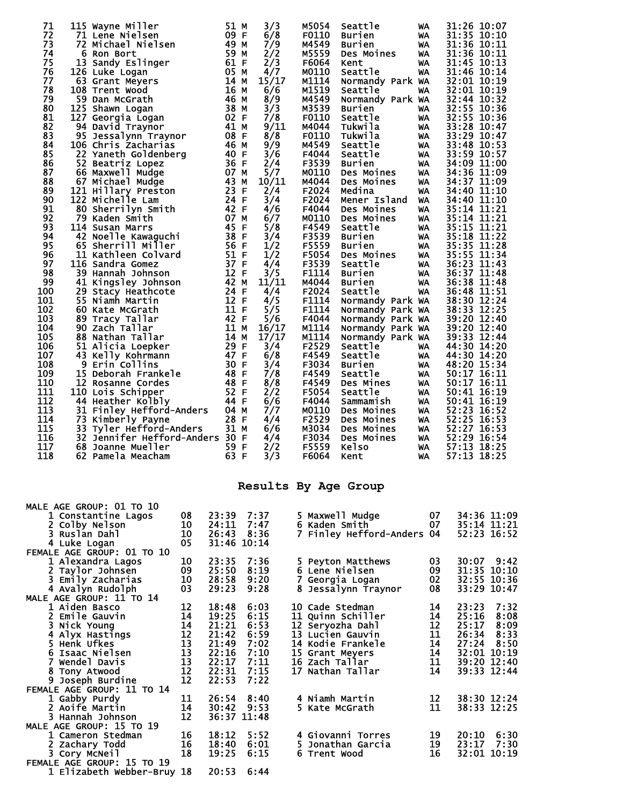| 71  | 115 Wayne Miller                   | 51 M               | 3/3   | M5054 | Seattle          |           | 31:26 10:07    |
|-----|------------------------------------|--------------------|-------|-------|------------------|-----------|----------------|
|     |                                    |                    |       |       |                  | WA        |                |
| 72  | 71 Lene Nielsen                    | 09 F               | 6/8   | F0110 | Burien           | WA        | 31:35 10:10    |
| 73  | 72 Michael Nielsen                 | 49<br>м            | 7/9   | M4549 | <b>Burien</b>    | WA        | 31:36 10:11    |
| 74  | 6<br><b>Ron Bort</b>               | 59<br>м            | 2/2   | M5559 | Des Moines       | WA        | 31:36 10:11    |
| 75  | 13<br>Sandy Eslinger               | 61 F               | 2/3   | F6064 | Kent             | WA        | 31:45 10:13    |
| 76  | 126 Luke Logan                     | 05<br>м            | 4/7   | M0110 | Seattle          | WA        | 31:46 10:14    |
| 77  | 63 Grant Meyers                    | 14<br>М            | 15/17 | M1114 | Normandy Park WA |           | 32:01 10:19    |
| 78  | 108 Trent Wood                     | 16<br>м            | 6/6   | M1519 | Seattle          | WA        | 32:01 10:19    |
|     |                                    |                    |       |       |                  |           |                |
| 79  | 59 Dan McGrath                     | 46<br>М            | 8/9   | M4549 | Normandy Park WA |           | 32:44 10:32    |
| 80  | 125 Shawn Logan                    | 38<br>M            | 3/3   | M3539 | <b>Burien</b>    | WA        | 32:55 10:36    |
| 81  | 127 Georgia Logan                  | 02 F               | 7/8   | F0110 | Seattle          | WA        | 32:55 10:36    |
| 82  | 94 David Traynor                   | 41 M               | 9/11  | M4044 | Tukwila          | WA        | 33:28 10:47    |
| 83  | 95 Jessalynn Traynor               | 08 F               | 8/8   | F0110 | Tukwila          | WA        | 33:29<br>10:47 |
| 84  | 106 Chris Zacharias                | 46 M               | 9/9   | M4549 | Seattle          | WA        | 33:48 10:53    |
| 85  | 22 Yaneth Goldenberg               | 40 F               | 3/6   | F4044 | Seattle          | WA        | 33:59 10:57    |
|     |                                    |                    |       |       |                  |           |                |
| 86  | 52<br>Beatriz Lopez                | 36 F               | 2/4   | F3539 | <b>Burien</b>    | WA        | 34:09 11:00    |
| 87  | 66 Maxwell Mudge                   | 07<br>М            | 5/7   | M0110 | Des Moines       | WA        | 34:36 11:09    |
| 88  | Michael Mudge<br>67                | 43<br>М            | 10/11 | M4044 | Des Moines       | WA        | 34:37 11:09    |
| 89  | 121 Hillary Preston                | 23<br>E            | 2/4   | F2024 | Medina           | WA        | 34:40 11:10    |
| 90  | 122 Michelle Lam                   | 24 F               | 3/4   | F2024 | Mener Island     | WA        | 34:40 11:10    |
| 91  | 80<br>Sherrilyn Smith              | 42<br>E            | 4/6   | F4044 | Des Moines       | WA        | 35:14 11:21    |
| 92  | 79 Kaden Smith                     | 07<br>М            | 6/7   | M0110 | Des Moines       | WA        | 35:14 11:21    |
| 93  | 114 Susan Marrs                    | 45<br>F            | 5/8   | F4549 | Seattle          | WA        | 35:15 11:21    |
|     |                                    |                    |       |       |                  |           |                |
| 94  | 42 Noelle Kawaguchi                | 38<br>$\mathsf F$  | 3/4   | F3539 | Burien           | WA        | 35:18 11:22    |
| 95  | 65 Sherrill Miller                 | 56 F               | 1/2   | F5559 | <b>Burien</b>    | WA        | 35:35 11:28    |
| 96  | 11 Kathleen Colvard                | 51 F               | 1/2   | F5054 | Des Moines       | WA        | 35:55 11:34    |
| 97  | 116 Sandra Gomez                   | 37 F               | 4/4   | F3539 | Seattle          | WA        | 36:23 11:43    |
| 98  | 39 Hannah Johnson                  | 12<br>-F           | 3/5   | F1114 | Burien           | <b>WA</b> | 36:37 11:48    |
| 99  | 41 Kingsley Johnson                | 42<br>M            | 11/11 | M4044 | <b>Burien</b>    | WA        | 36:38<br>11:48 |
| 100 | 29<br>Stacy Heathcote              | 24<br>F            | 4/4   | F2024 | Seattle          | WA        | 36:48<br>11:51 |
| 101 | 55<br>Niamh Martin                 | 12 F               | 4/5   | F1114 |                  |           | 38:30 12:24    |
|     |                                    |                    |       |       | Normandy Park WA |           |                |
| 102 | 60<br>Kate McGrath                 | 11<br>E            | 5/5   | F1114 | Normandy Park WA |           | 38:33<br>12:25 |
| 103 | 89<br>Tracy Tallar                 | 42<br>-F           | 5/6   | F4044 | Normandy Park WA |           | 39:20 12:40    |
| 104 | 90<br>Zach Tallar                  | 11<br>м            | 16/17 | M1114 | Normandy Park WA |           | 39:20 12:40    |
| 105 | 88 Nathan Tallar                   | 14 M               | 17/17 | M1114 | Normandy Park WA |           | 39:33<br>12:44 |
| 106 | 51<br>Alicia Loepker               | 29 F               | 3/4   | F2529 | Seattle          | WA        | 44:30 14:20    |
| 107 | 43 Kelly Kohrmann                  | 47 F               | 6/8   | F4549 | Seattle          | WA        | 44:30 14:20    |
| 108 | 9<br>Erin Collins                  | 30 F               | 3/4   | F3034 | <b>Burien</b>    | WA        | 48:20 15:34    |
| 109 | 15                                 | 48<br>F            | 7/8   | F4549 | Seattle          |           | 50:17 16:11    |
|     | Deborah Frankele                   |                    |       |       |                  | WA        |                |
| 110 | 12 Rosanne Cordes                  | 48<br>F            | 8/8   | F4549 | Des Mines        | WA        | 50:17 16:11    |
| 111 | 110 Lois Schipper                  | 52 F               | 2/2   | F5054 | Seattle          | WA        | 50:41 16:19    |
| 112 | 44 Heather Kolbly                  | 44 F               | 6/6   | F4044 | Sammamish        | WA        | 50:41 16:19    |
| 113 | Finley Hefford-Anders<br>31        | 04 M               | 7/7   | M0110 | Des Moines       | WA        | 52:23<br>16:52 |
| 114 | 73<br>Kimberly Payne               | 28 F               | 4/4   | F2529 | Des Moines       | WA        | 52:25 16:53    |
| 115 | 33<br>Tyler Hefford-Anders         | 31 M               | 6/6   | M3034 | Des Moines       | WA        | 52:27<br>16:53 |
| 116 | 32<br>Jennifer Hefford-Anders 30 F |                    | 4/4   | F3034 | Des Moines       | WA        | 52:29<br>16:54 |
| 117 |                                    | 59<br>-F           |       | F5559 | <b>Kelso</b>     |           | 57:13<br>18:25 |
|     | 68<br>Joanne Mueller               |                    | 2/2   |       |                  | WA        |                |
| 118 | 62 Pamela Meacham                  | 63<br>$\mathsf{F}$ | 3/3   | F6064 | Kent             | WA        | 57:13 18:25    |

## **Results By Age Group**

| MALE AGE GROUP: 01 TO 10   |                                         |             |      |   |                            |      |             |             |
|----------------------------|-----------------------------------------|-------------|------|---|----------------------------|------|-------------|-------------|
| 1 Constantine Lagos        | 08                                      | 23:39       | 7:37 |   | 5 Maxwell Mudge            | 07 - |             | 34:36 11:09 |
| 2 Colby Nelson             | 10                                      | 24:11       | 7:47 |   | 6 Kaden Smith              | 07   | 35:14 11:21 |             |
| 3 Ruslan Dahl              | 10                                      | 26:43       | 8:36 |   | 7 Finley Hefford-Anders 04 |      |             | 52:23 16:52 |
| 4 Luke Logan               | 05                                      | 31:46 10:14 |      |   |                            |      |             |             |
| FEMALE AGE GROUP: 01 TO 10 |                                         |             |      |   |                            |      |             |             |
| 1 Alexandra Lagos          | 10                                      | 23:35       | 7:36 |   | 5 Peyton Matthews          | 03   |             | 30:07 9:42  |
| 2 Taylor Johnsen           | 09                                      | 25:50       | 8:19 |   | 6 Lene Nielsen             | 09   |             | 31:35 10:10 |
| 3 Emily Zacharias          | 10                                      | 28:58       | 9:20 | 7 | Georgia Logan              | 02   |             | 32:55 10:36 |
| 4 Avalyn Rudolph           | 03                                      | 29:23       | 9:28 |   | 8 Jessalynn Traynor        | 08   |             | 33:29 10:47 |
| MALE AGE GROUP: 11 TO 14   |                                         |             |      |   |                            |      |             |             |
| 1 Aiden Basco              | $\begin{array}{c} 12 \\ 14 \end{array}$ | 18:48       | 6:03 |   | 10 Cade Stedman            | 14   | 23:23       | 7:32        |
| 2 Emile Gauvin             |                                         | 19:25       | 6:15 |   | 11 Quinn Schiller          | 14   | 25:16       | 8:08        |
| 3 Nick Young               |                                         | 21:21       | 6:53 |   | 12 Seryozha Dahl           | 12   | 25:17       | 8:09        |
| 4 Alyx Hastings            | $\begin{array}{c} 14 \\ 12 \end{array}$ | 21:42       | 6:59 |   | 13 Lucien Gauvin           | 11   | 26:34       | 8:33        |
| 5 Henk Ufkes               | $\frac{13}{13}$                         | 21:49       | 7:02 |   | <b>14 Kodie Frankele</b>   | 14   | 27:24 8:50  |             |
| 6 Isaac Nielsen            |                                         | 22:16       | 7:10 |   | 15 Grant Meyers            | 14   |             | 32:01 10:19 |
| 7 Wendel Davis             | $\overline{13}$                         | 22:17       | 7:11 |   | 16 Zach Tallar             | 11   |             | 39:20 12:40 |
| 8 Tony Atwood              | 12                                      | 22:31       | 7:15 |   | 17 Nathan Tallar           | 14   |             | 39:33 12:44 |
| 9 Joseph Burdine           | 12                                      | 22:53       | 7:22 |   |                            |      |             |             |
| FEMALE AGE GROUP: 11 TO 14 |                                         |             |      |   |                            |      |             |             |
| 1 Gabby Purdy              | 11                                      | 26:54 8:40  |      |   | 4 Niamh Martin             | 12   |             | 38:30 12:24 |
| 2 Aoife Martin             | 14                                      | 30:42       | 9:53 |   | 5 Kate McGrath             | 11   |             | 38:33 12:25 |
| 3 Hannah Johnson           | 12                                      | 36:37 11:48 |      |   |                            |      |             |             |
| MALE AGE GROUP: 15 TO 19   |                                         |             |      |   |                            |      |             |             |
| 1 Cameron Stedman          | 16                                      | 18:12       | 5:52 |   | 4 Giovanni Torres          | 19   | 20:10       | 6:30        |
| 2 Zachary Todd             | 16                                      | 18:40       | 6:01 |   | 5 Jonathan Garcia          | 19   | 23:17       | 7:30        |
| 3 Cory McNeil              | 18                                      | 19:25       | 6:15 |   | 6 Trent Wood               | 16   |             | 32:01 10:19 |
| FEMALE AGE GROUP: 15 TO 19 |                                         |             |      |   |                            |      |             |             |
| 1 Elizabeth Webber-Bruy 18 |                                         | 20:53       | 6:44 |   |                            |      |             |             |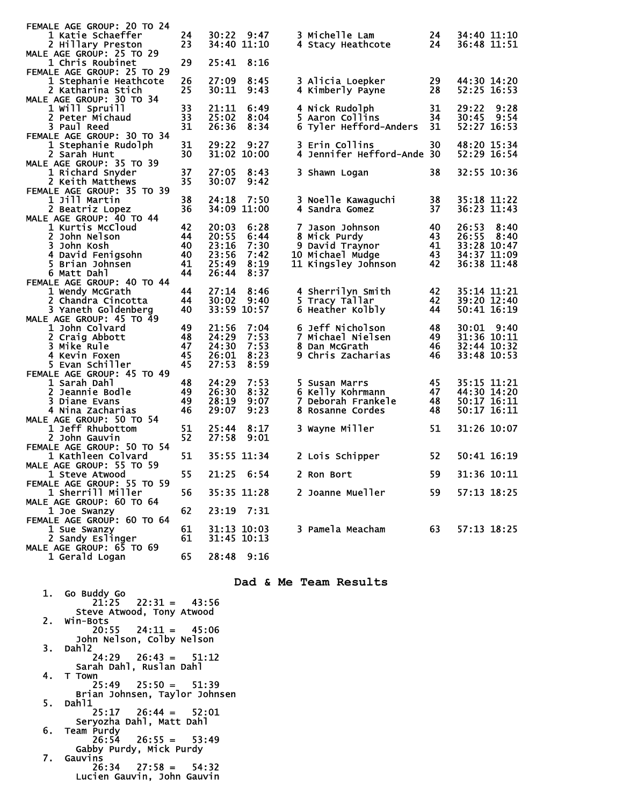| FEMALE AGE GROUP: 20 TO 24                     |    |             |             |    |                            |     |               |
|------------------------------------------------|----|-------------|-------------|----|----------------------------|-----|---------------|
| 1 Katie Schaeffer                              | 24 |             | 30:22 9:47  |    | 3 Michelle Lam             | 24  | 34:40 11:10   |
| 2 Hillary Preston                              | 23 |             | 34:40 11:10 |    | 4 Stacy Heathcote          | 24  | 36:48 11:51   |
| MALE AGE GROUP: 25 TO 29                       |    |             |             |    |                            |     |               |
| 1 Chris Roubinet                               | 29 | 25:41       | 8:16        |    |                            |     |               |
| FEMALE AGE GROUP: 25 TO 29                     |    | 27:09       |             |    |                            |     | 44:30 14:20   |
| 1 Stephanie Heathcote                          | 26 |             | 8:45        |    | 3 Alicia Loepker           | 29  |               |
| 2 Katharina Stich                              | 25 | 30:11       | 9:43        |    | 4 Kimberly Payne           | 28  | 52:25 16:53   |
| MALE AGE GROUP: 30 TO 34<br>1 will Spruill     | 33 | 21:11       | 6:49        |    | 4 Nick Rudolph             | 31  | 29:22<br>9:28 |
| 2 Peter Michaud                                | 33 | 25:02       | 8:04        |    | 5 Aaron Collins            | 34  | 9:54<br>30:45 |
| 3 Paul Reed                                    | 31 | 26:36       | 8:34        |    | 6 Tyler Hefford-Anders     | 31  | 52:27 16:53   |
| FEMALE AGE GROUP: 30 TO 34                     |    |             |             |    |                            |     |               |
| 1 Stephanie Rudolph                            | 31 | 29:22       | 9:27        |    | 3 Erin Collins             | 30  | 48:20 15:34   |
| 2 Sarah Hunt                                   | 30 | 31:02 10:00 |             |    | 4 Jennifer Hefford-Ande 30 |     | 52:29 16:54   |
| MALE AGE GROUP: 35 TO 39                       |    |             |             |    |                            |     |               |
| 1 Richard Snyder                               | 37 | 27:05       | 8:43        |    | 3 Shawn Logan              | 38  | 32:55 10:36   |
| 2 Keith Matthews                               | 35 | 30:07       | 9:42        |    |                            |     |               |
| FEMALE AGE GROUP: 35 TO 39                     |    |             |             |    |                            |     |               |
| 1 Jill Martin                                  | 38 | 24:18       | 7:50        |    | 3 Noelle Kawaguchi         | 38  | 35:18 11:22   |
| 2 Beatriz Lopez                                | 36 |             | 34:09 11:00 |    | 4 Sandra Gomez             | 37  | 36:23 11:43   |
| MALE AGE GROUP: 40 TO 44                       |    |             |             |    |                            |     |               |
| 1 Kurtis McCloud                               | 42 | 20:03       | 6:28        |    | 7 Jason Johnson            | 40  | 26:53<br>8:40 |
| 2 John Nelson                                  | 44 | 20:55       | 6:44        |    | 8 Mick Purdy               | 43  | 26:55<br>8:40 |
| 3 John Kosh                                    | 40 | 23:16       | 7:30        |    | 9 David Traynor            | 41  | 33:28 10:47   |
| 4 David Fenigsohn                              | 40 | 23:56       | 7:42        |    | 10 Michael Mudge           | 43  | 34:37 11:09   |
| 5 Brian Johnsen                                | 41 | 25:49       | 8:19        |    | 11 Kingsley Johnson        | 42  | 36:38 11:48   |
| 6 Matt Dahl                                    | 44 | 26:44       | 8:37        |    |                            |     |               |
| FEMALE AGE GROUP: 40 TO 44                     |    |             |             |    |                            |     |               |
| 1 Wendy McGrath                                | 44 | 27:14       | 8:46        |    | 4 Sherrilyn Smith          | 42  | 35:14 11:21   |
| 2 Chandra Cincotta                             | 44 | 30:02       | 9:40        |    | 5 Tracy Tallar             | 42  | 39:20 12:40   |
| 3 Yaneth Goldenberg                            | 40 | 33:59 10:57 |             |    | 6 Heather Kolbly           | 44  | 50:41 16:19   |
| MALE AGE GROUP: 45 TO 49                       |    |             |             |    |                            |     |               |
| 1 John Colvard                                 | 49 | 21:56       | 7:04        |    | 6 Jeff Nicholson           | 48  | 9:40<br>30:01 |
| 2 Craig Abbott                                 | 48 | 24:29       | 7:53        |    | 7 Michael Nielsen          | 49  | 31:36 10:11   |
| 3 Mike Rule                                    | 47 | 24:30       | 7:53        |    | 8 Dan McGrath              | 46  | 32:44 10:32   |
| 4 Kevin Foxen                                  | 45 | 26:01       | 8:23        |    | 9 Chris Zacharias          | 46  | 33:48 10:53   |
| 5 Evan Schiller                                | 45 | 27:53       | 8:59        |    |                            |     |               |
| FEMALE AGE GROUP: 45 TO 49                     |    |             |             |    |                            |     |               |
| 1 Sarah Dahl                                   | 48 | 24:29       | 7:53        |    | 5 Susan Marrs              | 45  | 35:15 11:21   |
| 2 Jeannie Bodle                                | 49 | 26:30       | 8:32        |    | 6 Kelly Kohrmann           | 47  | 44:30 14:20   |
| 3 Diane Evans                                  | 49 | 28:19       | 9:07        | 7. | Deborah Frankele           | 48  | 50:17 16:11   |
| 4 Nina Zacharias                               | 46 | 29:07       | 9:23        |    | 8 Rosanne Cordes           | 48  | 50:17 16:11   |
| MALE AGE GROUP: 50 TO 54                       |    |             |             |    |                            |     |               |
| 1 Jeff Rhubottom                               | 51 | 25:44       | 8:17        |    | 3 Wayne Miller             | 51  | 31:26 10:07   |
| 2 John Gauvin                                  | 52 | 27:58       | 9:01        |    |                            |     |               |
| FEMALE AGE GROUP: 50 TO 54                     |    |             |             |    |                            |     | 50:41 16:19   |
| 1 Kathleen Colvard<br>MALE AGE GROUP: 55 TO 59 | 51 | 35:55 11:34 |             |    | 2 Lois Schipper            | 52  |               |
| 1 Steve Atwood                                 | 55 | 21:25       | 6:54        |    | 2 Ron Bort                 | 59  | 31:36 10:11   |
| FEMALE AGE GROUP: 55 TO 59                     |    |             |             |    |                            |     |               |
| 1 Sherrill Miller                              | 56 |             | 35:35 11:28 |    | 2 Joanne Mueller           | 59. | 57:13 18:25   |
| MALE AGE GROUP: 60 TO 64                       |    |             |             |    |                            |     |               |
| 1 Joe Swanzy                                   | 62 |             | 23:19 7:31  |    |                            |     |               |
| FEMALE AGE GROUP: 60 TO 64                     |    |             |             |    |                            |     |               |
| 1 Sue Swanzy                                   | 61 |             | 31:13 10:03 |    | 3 Pamela Meacham           | 63  | 57:13 18:25   |
| 2 Sandy Eslinger                               | 61 | 31:45 10:13 |             |    |                            |     |               |
| MALE AGE GROUP: 65 TO 69                       |    |             |             |    |                            |     |               |
| 1 Gerald Logan                                 | 65 | 28:48 9:16  |             |    |                            |     |               |
|                                                |    |             |             |    |                            |     |               |

## **Dad & Me Team Results**

| 1.    | Go Buddy Go                   |
|-------|-------------------------------|
|       | $21:25$ $22:31 = 43:56$       |
|       | Steve Atwood, Tony Atwood     |
| $2 -$ | Win-Bots                      |
|       | $20:55$ $24:11 = 45:06$       |
|       |                               |
|       | John Nelson, Colby Nelson     |
| З.    | Dah12                         |
|       | $24:29$ $26:43 = 51:12$       |
|       | Sarah Dahl, Ruslan Dahl       |
|       |                               |
| 4.    | T Town                        |
|       | $25:49$ $25:50 = 51:39$       |
|       | Brian Johnsen, Taylor Johnsen |
|       |                               |
| 5.    | Dahl1                         |
|       | $25:17$ $26:44 = 52:01$       |
|       | Servozha Dahl, Matt Dahl      |
|       |                               |
| 6.    | Team Purdy                    |
|       | $26:54$ $26:55 = 53:49$       |
|       | Gabby Purdy, Mick Purdy       |
|       |                               |
|       | 7. Gauvins                    |
|       | $26:34$ $27:58 = 54:32$       |
|       | Lucien Gauvin, John Gauvin    |
|       |                               |